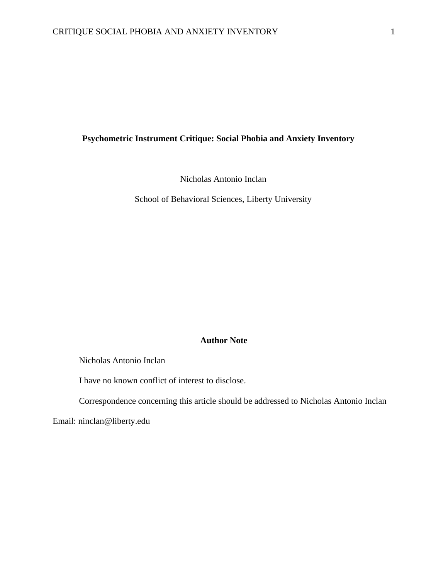# **Psychometric Instrument Critique: Social Phobia and Anxiety Inventory**

Nicholas Antonio Inclan

School of Behavioral Sciences, Liberty University

# **Author Note**

Nicholas Antonio Inclan

I have no known conflict of interest to disclose.

Correspondence concerning this article should be addressed to Nicholas Antonio Inclan

Email: ninclan@liberty.edu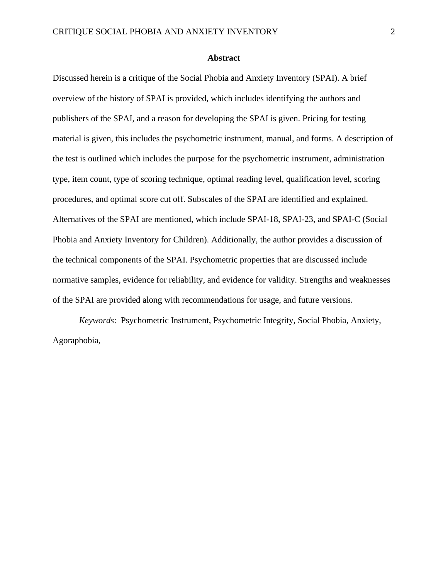## **Abstract**

Discussed herein is a critique of the Social Phobia and Anxiety Inventory (SPAI). A brief overview of the history of SPAI is provided, which includes identifying the authors and publishers of the SPAI, and a reason for developing the SPAI is given. Pricing for testing material is given, this includes the psychometric instrument, manual, and forms. A description of the test is outlined which includes the purpose for the psychometric instrument, administration type, item count, type of scoring technique, optimal reading level, qualification level, scoring procedures, and optimal score cut off. Subscales of the SPAI are identified and explained. Alternatives of the SPAI are mentioned, which include SPAI-18, SPAI-23, and SPAI-C (Social Phobia and Anxiety Inventory for Children). Additionally, the author provides a discussion of the technical components of the SPAI. Psychometric properties that are discussed include normative samples, evidence for reliability, and evidence for validity. Strengths and weaknesses of the SPAI are provided along with recommendations for usage, and future versions.

*Keywords*: Psychometric Instrument, Psychometric Integrity, Social Phobia, Anxiety, Agoraphobia,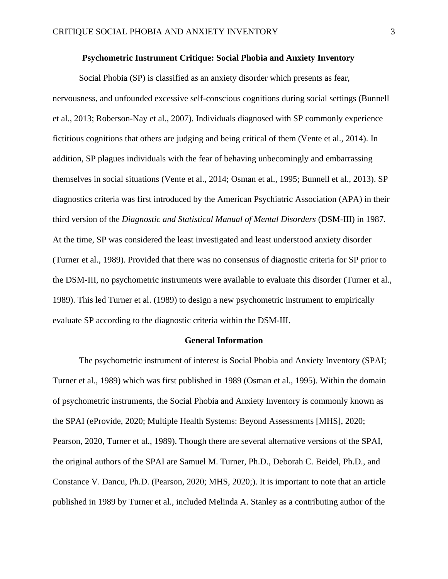## **Psychometric Instrument Critique: Social Phobia and Anxiety Inventory**

Social Phobia (SP) is classified as an anxiety disorder which presents as fear, nervousness, and unfounded excessive self-conscious cognitions during social settings (Bunnell et al., 2013; Roberson-Nay et al., 2007). Individuals diagnosed with SP commonly experience fictitious cognitions that others are judging and being critical of them (Vente et al., 2014). In addition, SP plagues individuals with the fear of behaving unbecomingly and embarrassing themselves in social situations (Vente et al., 2014; Osman et al., 1995; Bunnell et al., 2013). SP diagnostics criteria was first introduced by the American Psychiatric Association (APA) in their third version of the *Diagnostic and Statistical Manual of Mental Disorders* (DSM-III) in 1987. At the time, SP was considered the least investigated and least understood anxiety disorder (Turner et al., 1989). Provided that there was no consensus of diagnostic criteria for SP prior to the DSM-III, no psychometric instruments were available to evaluate this disorder (Turner et al., 1989). This led Turner et al. (1989) to design a new psychometric instrument to empirically evaluate SP according to the diagnostic criteria within the DSM-III.

### **General Information**

The psychometric instrument of interest is Social Phobia and Anxiety Inventory (SPAI; Turner et al., 1989) which was first published in 1989 (Osman et al., 1995). Within the domain of psychometric instruments, the Social Phobia and Anxiety Inventory is commonly known as the SPAI (eProvide, 2020; Multiple Health Systems: Beyond Assessments [MHS], 2020; Pearson, 2020, Turner et al., 1989). Though there are several alternative versions of the SPAI, the original authors of the SPAI are Samuel M. Turner, Ph.D., Deborah C. Beidel, Ph.D., and Constance V. Dancu, Ph.D. (Pearson, 2020; MHS, 2020;). It is important to note that an article published in 1989 by Turner et al., included Melinda A. Stanley as a contributing author of the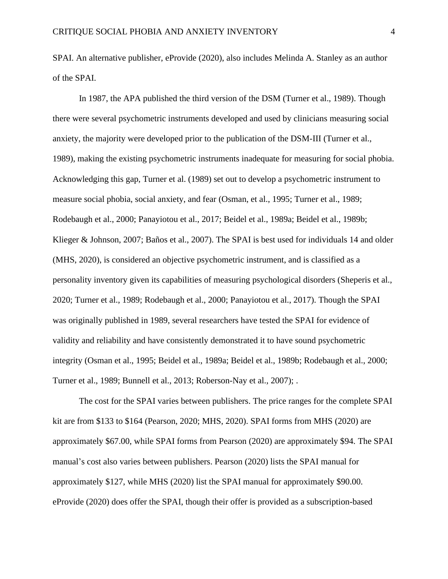SPAI. An alternative publisher, eProvide (2020), also includes Melinda A. Stanley as an author of the SPAI.

In 1987, the APA published the third version of the DSM (Turner et al., 1989). Though there were several psychometric instruments developed and used by clinicians measuring social anxiety, the majority were developed prior to the publication of the DSM-III (Turner et al., 1989), making the existing psychometric instruments inadequate for measuring for social phobia. Acknowledging this gap, Turner et al. (1989) set out to develop a psychometric instrument to measure social phobia, social anxiety, and fear (Osman, et al., 1995; Turner et al., 1989; Rodebaugh et al., 2000; Panayiotou et al., 2017; Beidel et al., 1989a; Beidel et al., 1989b; Klieger & Johnson, 2007; Baños et al., 2007). The SPAI is best used for individuals 14 and older (MHS, 2020), is considered an objective psychometric instrument, and is classified as a personality inventory given its capabilities of measuring psychological disorders (Sheperis et al., 2020; Turner et al., 1989; Rodebaugh et al., 2000; Panayiotou et al., 2017). Though the SPAI was originally published in 1989, several researchers have tested the SPAI for evidence of validity and reliability and have consistently demonstrated it to have sound psychometric integrity (Osman et al., 1995; Beidel et al., 1989a; Beidel et al., 1989b; Rodebaugh et al., 2000; Turner et al., 1989; Bunnell et al., 2013; Roberson-Nay et al., 2007); .

The cost for the SPAI varies between publishers. The price ranges for the complete SPAI kit are from \$133 to \$164 (Pearson, 2020; MHS, 2020). SPAI forms from MHS (2020) are approximately \$67.00, while SPAI forms from Pearson (2020) are approximately \$94. The SPAI manual's cost also varies between publishers. Pearson (2020) lists the SPAI manual for approximately \$127, while MHS (2020) list the SPAI manual for approximately \$90.00. eProvide (2020) does offer the SPAI, though their offer is provided as a subscription-based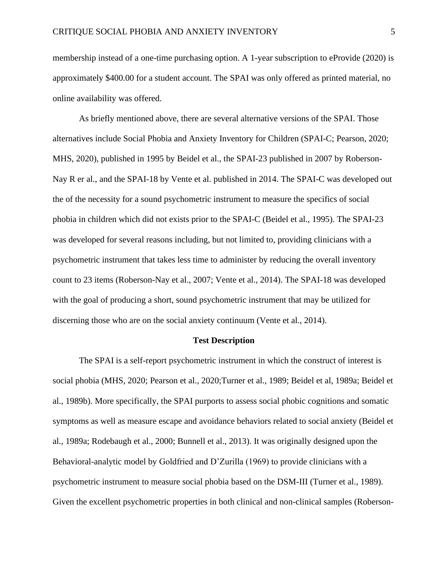membership instead of a one-time purchasing option. A 1-year subscription to eProvide (2020) is approximately \$400.00 for a student account. The SPAI was only offered as printed material, no online availability was offered.

As briefly mentioned above, there are several alternative versions of the SPAI. Those alternatives include Social Phobia and Anxiety Inventory for Children (SPAI-C; Pearson, 2020; MHS, 2020), published in 1995 by Beidel et al., the SPAI-23 published in 2007 by Roberson-Nay R er al., and the SPAI-18 by Vente et al. published in 2014. The SPAI-C was developed out the of the necessity for a sound psychometric instrument to measure the specifics of social phobia in children which did not exists prior to the SPAI-C (Beidel et al., 1995). The SPAI-23 was developed for several reasons including, but not limited to, providing clinicians with a psychometric instrument that takes less time to administer by reducing the overall inventory count to 23 items (Roberson-Nay et al., 2007; Vente et al., 2014). The SPAI-18 was developed with the goal of producing a short, sound psychometric instrument that may be utilized for discerning those who are on the social anxiety continuum (Vente et al., 2014).

#### **Test Description**

The SPAI is a self-report psychometric instrument in which the construct of interest is social phobia (MHS, 2020; Pearson et al., 2020;Turner et al., 1989; Beidel et al, 1989a; Beidel et al., 1989b). More specifically, the SPAI purports to assess social phobic cognitions and somatic symptoms as well as measure escape and avoidance behaviors related to social anxiety (Beidel et al., 1989a; Rodebaugh et al., 2000; Bunnell et al., 2013). It was originally designed upon the Behavioral-analytic model by Goldfried and D'Zurilla (1969) to provide clinicians with a psychometric instrument to measure social phobia based on the DSM-III (Turner et al., 1989). Given the excellent psychometric properties in both clinical and non-clinical samples (Roberson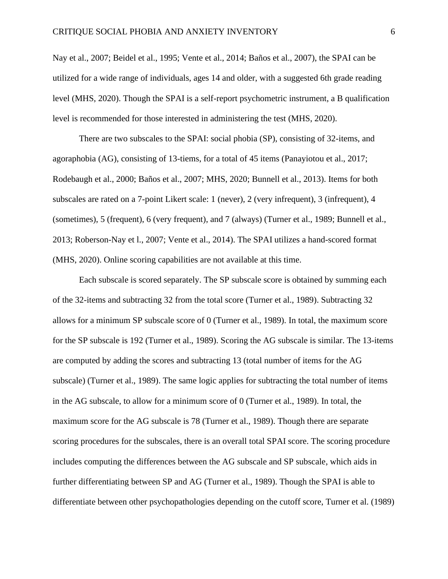Nay et al., 2007; Beidel et al., 1995; Vente et al., 2014; Baños et al., 2007), the SPAI can be utilized for a wide range of individuals, ages 14 and older, with a suggested 6th grade reading level (MHS, 2020). Though the SPAI is a self-report psychometric instrument, a B qualification level is recommended for those interested in administering the test (MHS, 2020).

There are two subscales to the SPAI: social phobia (SP), consisting of 32-items, and agoraphobia (AG), consisting of 13-tiems, for a total of 45 items (Panayiotou et al., 2017; Rodebaugh et al., 2000; Baños et al., 2007; MHS, 2020; Bunnell et al., 2013). Items for both subscales are rated on a 7-point Likert scale: 1 (never), 2 (very infrequent), 3 (infrequent), 4 (sometimes), 5 (frequent), 6 (very frequent), and 7 (always) (Turner et al., 1989; Bunnell et al., 2013; Roberson-Nay et l., 2007; Vente et al., 2014). The SPAI utilizes a hand-scored format (MHS, 2020). Online scoring capabilities are not available at this time.

Each subscale is scored separately. The SP subscale score is obtained by summing each of the 32-items and subtracting 32 from the total score (Turner et al., 1989). Subtracting 32 allows for a minimum SP subscale score of 0 (Turner et al., 1989). In total, the maximum score for the SP subscale is 192 (Turner et al., 1989). Scoring the AG subscale is similar. The 13-items are computed by adding the scores and subtracting 13 (total number of items for the AG subscale) (Turner et al., 1989). The same logic applies for subtracting the total number of items in the AG subscale, to allow for a minimum score of 0 (Turner et al., 1989). In total, the maximum score for the AG subscale is 78 (Turner et al., 1989). Though there are separate scoring procedures for the subscales, there is an overall total SPAI score. The scoring procedure includes computing the differences between the AG subscale and SP subscale, which aids in further differentiating between SP and AG (Turner et al., 1989). Though the SPAI is able to differentiate between other psychopathologies depending on the cutoff score, Turner et al. (1989)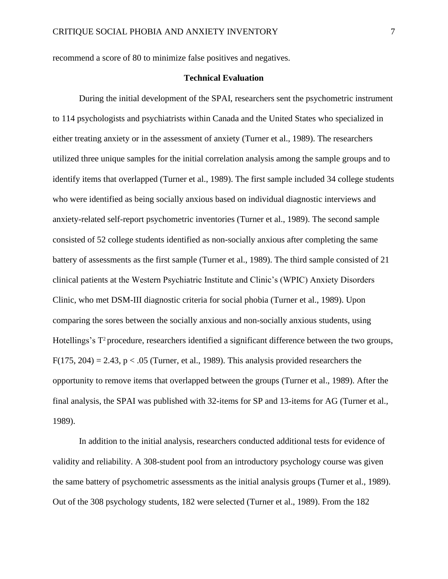recommend a score of 80 to minimize false positives and negatives.

# **Technical Evaluation**

During the initial development of the SPAI, researchers sent the psychometric instrument to 114 psychologists and psychiatrists within Canada and the United States who specialized in either treating anxiety or in the assessment of anxiety (Turner et al., 1989). The researchers utilized three unique samples for the initial correlation analysis among the sample groups and to identify items that overlapped (Turner et al., 1989). The first sample included 34 college students who were identified as being socially anxious based on individual diagnostic interviews and anxiety-related self-report psychometric inventories (Turner et al., 1989). The second sample consisted of 52 college students identified as non-socially anxious after completing the same battery of assessments as the first sample (Turner et al., 1989). The third sample consisted of 21 clinical patients at the Western Psychiatric Institute and Clinic's (WPIC) Anxiety Disorders Clinic, who met DSM-III diagnostic criteria for social phobia (Turner et al., 1989). Upon comparing the sores between the socially anxious and non-socially anxious students, using Hotellings's T<sup>2</sup> procedure, researchers identified a significant difference between the two groups, F(175, 204) = 2.43, p < .05 (Turner, et al., 1989). This analysis provided researchers the opportunity to remove items that overlapped between the groups (Turner et al., 1989). After the final analysis, the SPAI was published with 32-items for SP and 13-items for AG (Turner et al., 1989).

In addition to the initial analysis, researchers conducted additional tests for evidence of validity and reliability. A 308-student pool from an introductory psychology course was given the same battery of psychometric assessments as the initial analysis groups (Turner et al., 1989). Out of the 308 psychology students, 182 were selected (Turner et al., 1989). From the 182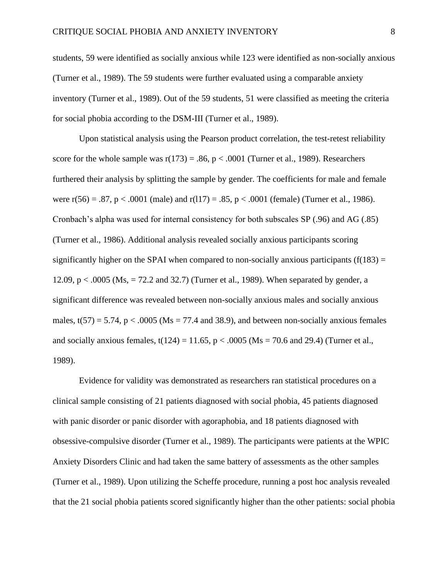students, 59 were identified as socially anxious while 123 were identified as non-socially anxious (Turner et al., 1989). The 59 students were further evaluated using a comparable anxiety inventory (Turner et al., 1989). Out of the 59 students, 51 were classified as meeting the criteria for social phobia according to the DSM-III (Turner et al., 1989).

Upon statistical analysis using the Pearson product correlation, the test-retest reliability score for the whole sample was  $r(173) = .86$ ,  $p < .0001$  (Turner et al., 1989). Researchers furthered their analysis by splitting the sample by gender. The coefficients for male and female were  $r(56) = .87$ ,  $p < .0001$  (male) and  $r(117) = .85$ ,  $p < .0001$  (female) (Turner et al., 1986). Cronbach's alpha was used for internal consistency for both subscales SP (.96) and AG (.85) (Turner et al., 1986). Additional analysis revealed socially anxious participants scoring significantly higher on the SPAI when compared to non-socially anxious participants  $(f(183) =$ 12.09, p < .0005 (Ms, = 72.2 and 32.7) (Turner et al., 1989). When separated by gender, a significant difference was revealed between non-socially anxious males and socially anxious males,  $t(57) = 5.74$ ,  $p < .0005$  (Ms = 77.4 and 38.9), and between non-socially anxious females and socially anxious females,  $t(124) = 11.65$ ,  $p < .0005$  (Ms = 70.6 and 29.4) (Turner et al., 1989).

Evidence for validity was demonstrated as researchers ran statistical procedures on a clinical sample consisting of 21 patients diagnosed with social phobia, 45 patients diagnosed with panic disorder or panic disorder with agoraphobia, and 18 patients diagnosed with obsessive-compulsive disorder (Turner et al., 1989). The participants were patients at the WPIC Anxiety Disorders Clinic and had taken the same battery of assessments as the other samples (Turner et al., 1989). Upon utilizing the Scheffe procedure, running a post hoc analysis revealed that the 21 social phobia patients scored significantly higher than the other patients: social phobia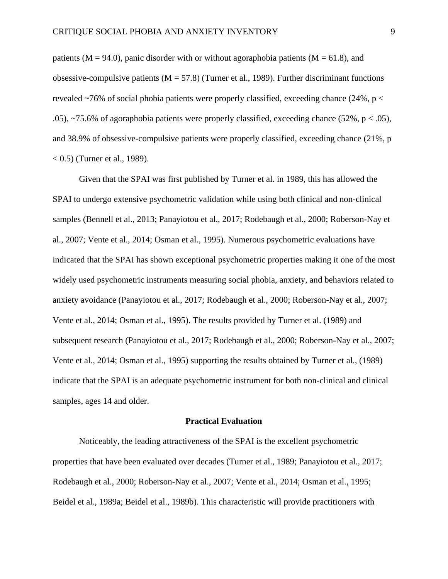patients ( $M = 94.0$ ), panic disorder with or without agoraphobia patients ( $M = 61.8$ ), and obsessive-compulsive patients  $(M = 57.8)$  (Turner et al., 1989). Further discriminant functions revealed  $\sim$ 76% of social phobia patients were properly classified, exceeding chance (24%, p  $\lt$ .05), ~75.6% of agoraphobia patients were properly classified, exceeding chance (52%,  $p < .05$ ), and 38.9% of obsessive-compulsive patients were properly classified, exceeding chance (21%, p  $(0.5)$  (Turner et al., 1989).

Given that the SPAI was first published by Turner et al. in 1989, this has allowed the SPAI to undergo extensive psychometric validation while using both clinical and non-clinical samples (Bennell et al., 2013; Panayiotou et al., 2017; Rodebaugh et al., 2000; Roberson-Nay et al., 2007; Vente et al., 2014; Osman et al., 1995). Numerous psychometric evaluations have indicated that the SPAI has shown exceptional psychometric properties making it one of the most widely used psychometric instruments measuring social phobia, anxiety, and behaviors related to anxiety avoidance (Panayiotou et al., 2017; Rodebaugh et al., 2000; Roberson-Nay et al., 2007; Vente et al., 2014; Osman et al., 1995). The results provided by Turner et al. (1989) and subsequent research (Panayiotou et al., 2017; Rodebaugh et al., 2000; Roberson-Nay et al., 2007; Vente et al., 2014; Osman et al., 1995) supporting the results obtained by Turner et al., (1989) indicate that the SPAI is an adequate psychometric instrument for both non-clinical and clinical samples, ages 14 and older.

#### **Practical Evaluation**

Noticeably, the leading attractiveness of the SPAI is the excellent psychometric properties that have been evaluated over decades (Turner et al., 1989; Panayiotou et al., 2017; Rodebaugh et al., 2000; Roberson-Nay et al., 2007; Vente et al., 2014; Osman et al., 1995; Beidel et al., 1989a; Beidel et al., 1989b). This characteristic will provide practitioners with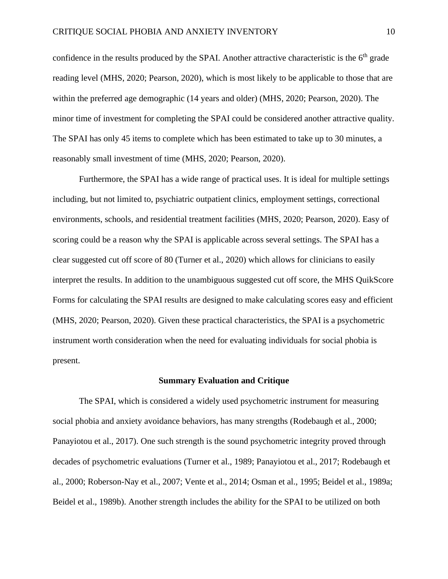confidence in the results produced by the SPAI. Another attractive characteristic is the  $6<sup>th</sup>$  grade reading level (MHS, 2020; Pearson, 2020), which is most likely to be applicable to those that are within the preferred age demographic (14 years and older) (MHS, 2020; Pearson, 2020). The minor time of investment for completing the SPAI could be considered another attractive quality. The SPAI has only 45 items to complete which has been estimated to take up to 30 minutes, a reasonably small investment of time (MHS, 2020; Pearson, 2020).

Furthermore, the SPAI has a wide range of practical uses. It is ideal for multiple settings including, but not limited to, psychiatric outpatient clinics, employment settings, correctional environments, schools, and residential treatment facilities (MHS, 2020; Pearson, 2020). Easy of scoring could be a reason why the SPAI is applicable across several settings. The SPAI has a clear suggested cut off score of 80 (Turner et al., 2020) which allows for clinicians to easily interpret the results. In addition to the unambiguous suggested cut off score, the MHS QuikScore Forms for calculating the SPAI results are designed to make calculating scores easy and efficient (MHS, 2020; Pearson, 2020). Given these practical characteristics, the SPAI is a psychometric instrument worth consideration when the need for evaluating individuals for social phobia is present.

## **Summary Evaluation and Critique**

The SPAI, which is considered a widely used psychometric instrument for measuring social phobia and anxiety avoidance behaviors, has many strengths (Rodebaugh et al., 2000; Panayiotou et al., 2017). One such strength is the sound psychometric integrity proved through decades of psychometric evaluations (Turner et al., 1989; Panayiotou et al., 2017; Rodebaugh et al., 2000; Roberson-Nay et al., 2007; Vente et al., 2014; Osman et al., 1995; Beidel et al., 1989a; Beidel et al., 1989b). Another strength includes the ability for the SPAI to be utilized on both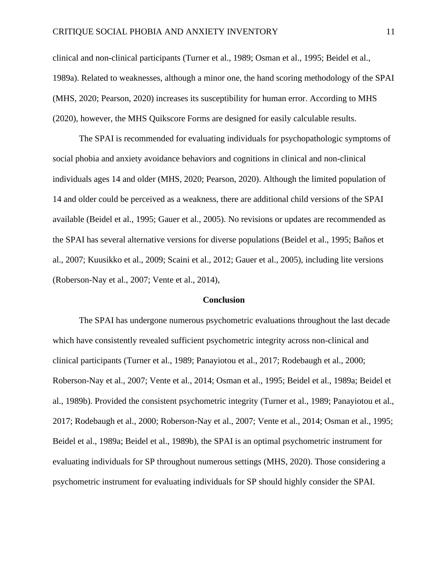clinical and non-clinical participants (Turner et al., 1989; Osman et al., 1995; Beidel et al., 1989a). Related to weaknesses, although a minor one, the hand scoring methodology of the SPAI (MHS, 2020; Pearson, 2020) increases its susceptibility for human error. According to MHS (2020), however, the MHS Quikscore Forms are designed for easily calculable results.

The SPAI is recommended for evaluating individuals for psychopathologic symptoms of social phobia and anxiety avoidance behaviors and cognitions in clinical and non-clinical individuals ages 14 and older (MHS, 2020; Pearson, 2020). Although the limited population of 14 and older could be perceived as a weakness, there are additional child versions of the SPAI available (Beidel et al., 1995; Gauer et al., 2005). No revisions or updates are recommended as the SPAI has several alternative versions for diverse populations (Beidel et al., 1995; Baños et al., 2007; Kuusikko et al., 2009; Scaini et al., 2012; Gauer et al., 2005), including lite versions (Roberson-Nay et al., 2007; Vente et al., 2014),

### **Conclusion**

The SPAI has undergone numerous psychometric evaluations throughout the last decade which have consistently revealed sufficient psychometric integrity across non-clinical and clinical participants (Turner et al., 1989; Panayiotou et al., 2017; Rodebaugh et al., 2000; Roberson-Nay et al., 2007; Vente et al., 2014; Osman et al., 1995; Beidel et al., 1989a; Beidel et al., 1989b). Provided the consistent psychometric integrity (Turner et al., 1989; Panayiotou et al., 2017; Rodebaugh et al., 2000; Roberson-Nay et al., 2007; Vente et al., 2014; Osman et al., 1995; Beidel et al., 1989a; Beidel et al., 1989b), the SPAI is an optimal psychometric instrument for evaluating individuals for SP throughout numerous settings (MHS, 2020). Those considering a psychometric instrument for evaluating individuals for SP should highly consider the SPAI.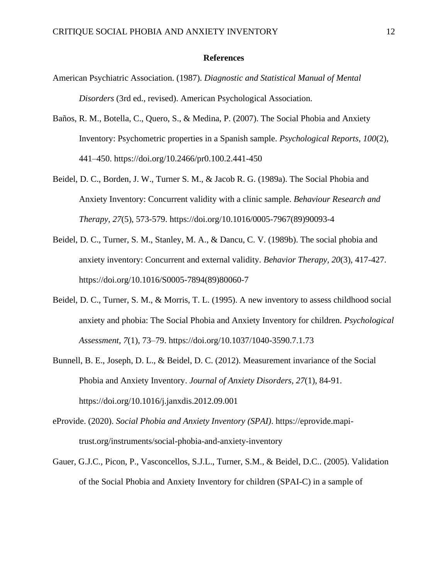## **References**

- American Psychiatric Association. (1987). *Diagnostic and Statistical Manual of Mental Disorders* (3rd ed., revised). American Psychological Association.
- Baños, R. M., Botella, C., Quero, S., & Medina, P. (2007). The Social Phobia and Anxiety Inventory: Psychometric properties in a Spanish sample. *Psychological Reports, 100*(2), 441–450. https://doi.org/10.2466/pr0.100.2.441-450
- Beidel, D. C., Borden, J. W., Turner S. M., & Jacob R. G. (1989a). The Social Phobia and Anxiety Inventory: Concurrent validity with a clinic sample. *Behaviour Research and Therapy, 27*(5), 573-579. https://doi.org/10.1016/0005-7967(89)90093-4
- Beidel, D. C., Turner, S. M., Stanley, M. A., & Dancu, C. V. (1989b). The social phobia and anxiety inventory: Concurrent and external validity*. Behavior Therapy, 20*(3), 417-427. https://doi.org/10.1016/S0005-7894(89)80060-7
- Beidel, D. C., Turner, S. M., & Morris, T. L. (1995). A new inventory to assess childhood social anxiety and phobia: The Social Phobia and Anxiety Inventory for children. *Psychological Assessment, 7*(1), 73–79. https://doi.org/10.1037/1040-3590.7.1.73
- Bunnell, B. E., Joseph, D. L., & Beidel, D. C. (2012). Measurement invariance of the Social Phobia and Anxiety Inventory. *Journal of Anxiety Disorders, 27*(1), 84-91. https://doi.org/10.1016/j.janxdis.2012.09.001
- eProvide. (2020). *Social Phobia and Anxiety Inventory (SPAI)*. https://eprovide.mapitrust.org/instruments/social-phobia-and-anxiety-inventory
- Gauer, G.J.C., Picon, P., Vasconcellos, S.J.L., Turner, S.M., & Beidel, D.C.. (2005). Validation of the Social Phobia and Anxiety Inventory for children (SPAI-C) in a sample of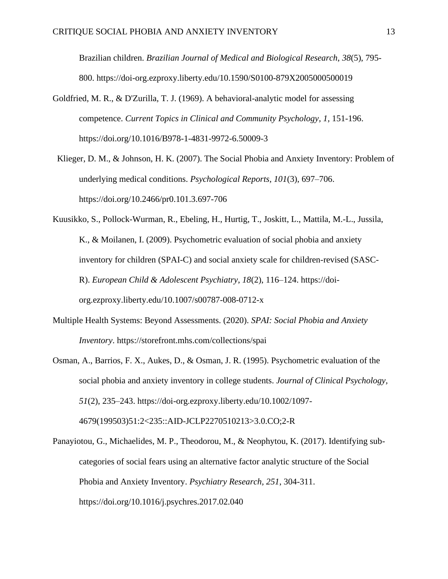Brazilian children. *Brazilian Journal of Medical and Biological Research*, *38*(5), 795- 800. https://doi-org.ezproxy.liberty.edu/10.1590/S0100-879X2005000500019

- Goldfried, M. R., & D'Zurilla, T. J. (1969). A behavioral-analytic model for assessing competence. *Current Topics in Clinical and Community Psychology, 1,* 151-196. https://doi.org/10.1016/B978-1-4831-9972-6.50009-3
- Klieger, D. M., & Johnson, H. K. (2007). The Social Phobia and Anxiety Inventory: Problem of underlying medical conditions. *Psychological Reports, 101*(3), 697–706. https://doi.org/10.2466/pr0.101.3.697-706
- Kuusikko, S., Pollock-Wurman, R., Ebeling, H., Hurtig, T., Joskitt, L., Mattila, M.-L., Jussila, K., & Moilanen, I. (2009). Psychometric evaluation of social phobia and anxiety inventory for children (SPAI-C) and social anxiety scale for children-revised (SASC-R). *European Child & Adolescent Psychiatry*, *18*(2), 116–124. https://doiorg.ezproxy.liberty.edu/10.1007/s00787-008-0712-x
- Multiple Health Systems: Beyond Assessments. (2020). *SPAI: Social Phobia and Anxiety Inventory*. https://storefront.mhs.com/collections/spai
- Osman, A., Barrios, F. X., Aukes, D., & Osman, J. R. (1995). Psychometric evaluation of the social phobia and anxiety inventory in college students. *Journal of Clinical Psychology, 51*(2), 235–243. https://doi-org.ezproxy.liberty.edu/10.1002/1097- 4679(199503)51:2<235::AID-JCLP2270510213>3.0.CO;2-R
- Panayiotou, G., Michaelides, M. P., Theodorou, M., & Neophytou, K. (2017). Identifying subcategories of social fears using an alternative factor analytic structure of the Social Phobia and Anxiety Inventory. *Psychiatry Research, 251*, 304-311. https://doi.org/10.1016/j.psychres.2017.02.040